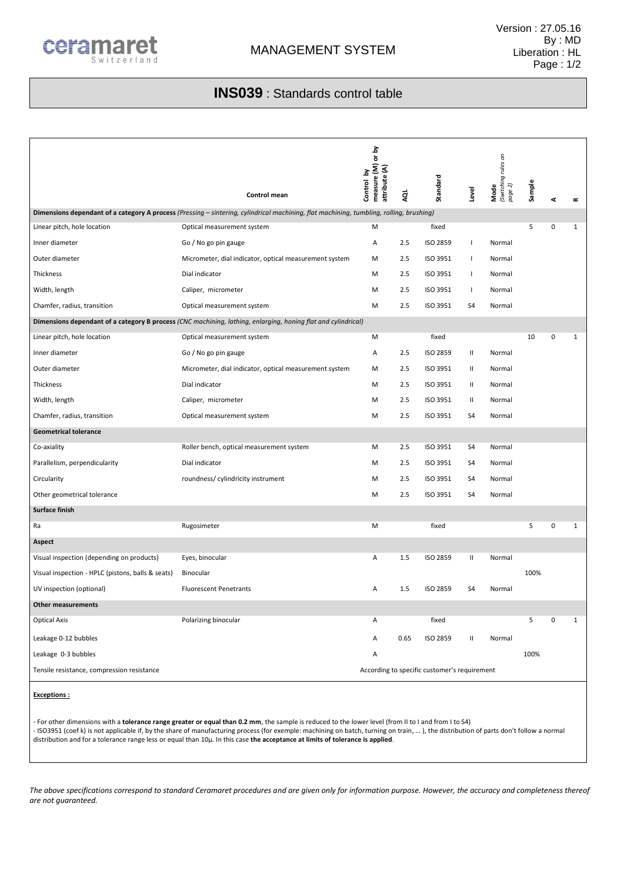

## **INS039** : Standards control table

|                                                                                                                                         | Control mean                                           | measure (M) or by<br>attribute (A)<br>Control by | ą    | Standard        | Level        | <b>Mode</b><br>(Switching rules on<br>page 2) | Sample | 4           | $\simeq$     |
|-----------------------------------------------------------------------------------------------------------------------------------------|--------------------------------------------------------|--------------------------------------------------|------|-----------------|--------------|-----------------------------------------------|--------|-------------|--------------|
| Dimensions dependant of a category A process (Pressing - sintering, cylindrical machining, flat machining, tumbling, rolling, brushing) |                                                        |                                                  |      |                 |              |                                               |        |             |              |
| Linear pitch, hole location                                                                                                             | Optical measurement system                             | M                                                |      | fixed           |              |                                               | 5      | 0           | $\mathbf{1}$ |
| Inner diameter                                                                                                                          | Go / No go pin gauge                                   | Α                                                | 2.5  | <b>ISO 2859</b> | 1            | Normal                                        |        |             |              |
| Outer diameter                                                                                                                          | Micrometer, dial indicator, optical measurement system | M                                                | 2.5  | ISO 3951        | T            | Normal                                        |        |             |              |
| Thickness                                                                                                                               | Dial indicator                                         | М                                                | 2.5  | ISO 3951        | т.           | Normal                                        |        |             |              |
| Width, length                                                                                                                           | Caliper, micrometer                                    | M                                                | 2.5  | ISO 3951        | т.           | Normal                                        |        |             |              |
| Chamfer, radius, transition                                                                                                             | Optical measurement system                             | M                                                | 2.5  | ISO 3951        | S4           | Normal                                        |        |             |              |
| Dimensions dependant of a category B process (CNC machining, lathing, enlarging, honing flat and cylindrical)                           |                                                        |                                                  |      |                 |              |                                               |        |             |              |
| Linear pitch, hole location                                                                                                             | Optical measurement system                             | M                                                |      | fixed           |              |                                               | 10     | 0           | $\mathbf{1}$ |
| Inner diameter                                                                                                                          | Go / No go pin gauge                                   | Α                                                | 2.5  | ISO 2859        | Ш            | Normal                                        |        |             |              |
| Outer diameter                                                                                                                          | Micrometer, dial indicator, optical measurement system | M                                                | 2.5  | ISO 3951        | Ш            | Normal                                        |        |             |              |
| Thickness                                                                                                                               | Dial indicator                                         | M                                                | 2.5  | ISO 3951        | Ш            | Normal                                        |        |             |              |
| Width, length                                                                                                                           | Caliper, micrometer                                    | M                                                | 2.5  | ISO 3951        | Ш            | Normal                                        |        |             |              |
| Chamfer, radius, transition                                                                                                             | Optical measurement system                             | M                                                | 2.5  | ISO 3951        | S4           | Normal                                        |        |             |              |
| <b>Geometrical tolerance</b>                                                                                                            |                                                        |                                                  |      |                 |              |                                               |        |             |              |
| Co-axiality                                                                                                                             | Roller bench, optical measurement system               | М                                                | 2.5  | ISO 3951        | S4           | Normal                                        |        |             |              |
| Parallelism, perpendicularity                                                                                                           | Dial indicator                                         | M                                                | 2.5  | ISO 3951        | S4           | Normal                                        |        |             |              |
| Circularity                                                                                                                             | roundness/ cylindricity instrument                     | M                                                | 2.5  | ISO 3951        | S4           | Normal                                        |        |             |              |
| Other geometrical tolerance                                                                                                             |                                                        | М                                                | 2.5  | ISO 3951        | S4           | Normal                                        |        |             |              |
| Surface finish                                                                                                                          |                                                        |                                                  |      |                 |              |                                               |        |             |              |
| Ra                                                                                                                                      | Rugosimeter                                            | M                                                |      | fixed           |              |                                               | 5      | $\mathbf 0$ | 1            |
| Aspect                                                                                                                                  |                                                        |                                                  |      |                 |              |                                               |        |             |              |
| Visual inspection (depending on products)                                                                                               | Eyes, binocular                                        | Α                                                | 1.5  | ISO 2859        | Ш            | Normal                                        |        |             |              |
| Visual inspection - HPLC (pistons, balls & seats)                                                                                       | Binocular                                              |                                                  |      |                 |              |                                               | 100%   |             |              |
| UV inspection (optional)                                                                                                                | <b>Fluorescent Penetrants</b>                          | Α                                                | 1.5  | ISO 2859        | S4           | Normal                                        |        |             |              |
| <b>Other measurements</b>                                                                                                               |                                                        |                                                  |      |                 |              |                                               |        |             |              |
| <b>Optical Axis</b>                                                                                                                     | Polarizing binocular                                   | Α                                                |      | fixed           |              |                                               | 5      | 0           | 1            |
| Leakage 0-12 bubbles                                                                                                                    |                                                        | Α                                                | 0.65 | ISO 2859        | $\mathbf{H}$ | Normal                                        |        |             |              |
| Leakage 0-3 bubbles                                                                                                                     |                                                        | Α                                                |      |                 |              |                                               | 100%   |             |              |
| Tensile resistance, compression resistance                                                                                              |                                                        | According to specific customer's requirement     |      |                 |              |                                               |        |             |              |
|                                                                                                                                         |                                                        |                                                  |      |                 |              |                                               |        |             |              |

**Exceptions :**

- For other dimensions with a **tolerance range greater or equal than 0.2 mm**, the sample is reduced to the lower level (from II to I and from I to S4) - ISO3951 (coef k) is not applicable if, by the share of manufacturing process (for exemple: machining on batch, turning on train, … ), the distribution of parts don't follow a normal distribution and for a tolerance range less or equal than 10µ. In this case **the acceptance at limits of tolerance is applied**.

*The above specifications correspond to standard Ceramaret procedures and are given only for information purpose. However, the accuracy and completeness thereof are not guaranteed.*